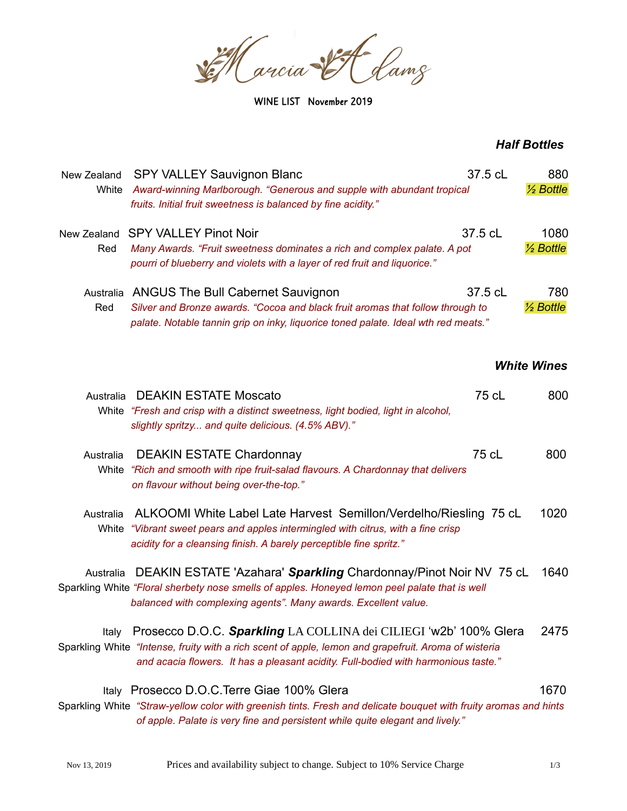Se Harcia SI Lamz

WINE LIST November 2019

## *Half Bottles*

| New Zealand<br>White | <b>SPY VALLEY Sauvignon Blanc</b><br>Award-winning Marlborough. "Generous and supple with abundant tropical<br>fruits. Initial fruit sweetness is balanced by fine acidity."                                                                                    | 37.5 cL | 880<br>$\frac{1}{2}$ Bottle  |
|----------------------|-----------------------------------------------------------------------------------------------------------------------------------------------------------------------------------------------------------------------------------------------------------------|---------|------------------------------|
| New Zealand<br>Red   | <b>SPY VALLEY Pinot Noir</b><br>Many Awards. "Fruit sweetness dominates a rich and complex palate. A pot<br>pourri of blueberry and violets with a layer of red fruit and liquorice."                                                                           | 37.5 cL | 1080<br>$\frac{1}{2}$ Bottle |
| Australia<br>Red     | <b>ANGUS The Bull Cabernet Sauvignon</b><br>Silver and Bronze awards. "Cocoa and black fruit aromas that follow through to<br>palate. Notable tannin grip on inky, liquorice toned palate. Ideal wth red meats."                                                | 37.5 cL | 780<br>$\frac{1}{2}$ Bottle  |
|                      |                                                                                                                                                                                                                                                                 |         | <b>White Wines</b>           |
| Australia            | <b>DEAKIN ESTATE Moscato</b><br>White "Fresh and crisp with a distinct sweetness, light bodied, light in alcohol,<br>slightly spritzy and quite delicious. (4.5% ABV)."                                                                                         | 75 cL   | 800                          |
| Australia            | <b>DEAKIN ESTATE Chardonnay</b><br>White "Rich and smooth with ripe fruit-salad flavours. A Chardonnay that delivers<br>on flavour without being over-the-top."                                                                                                 | 75 cL   | 800                          |
| Australia<br>White   | ALKOOMI White Label Late Harvest Semillon/Verdelho/Riesling 75 cL<br>"Vibrant sweet pears and apples intermingled with citrus, with a fine crisp<br>acidity for a cleansing finish. A barely perceptible fine spritz."                                          |         | 1020                         |
| Australia            | DEAKIN ESTATE 'Azahara' Sparkling Chardonnay/Pinot Noir NV 75 cL<br>Sparkling White "Floral sherbety nose smells of apples. Honeyed lemon peel palate that is well<br>balanced with complexing agents". Many awards. Excellent value.                           |         | 1640                         |
| Italv                | Prosecco D.O.C. Sparkling LA COLLINA dei CILIEGI 'w2b' 100% Glera<br>Sparkling White "Intense, fruity with a rich scent of apple, lemon and grapefruit. Aroma of wisteria<br>and acacia flowers. It has a pleasant acidity. Full-bodied with harmonious taste." |         | 2475                         |
|                      | Italy Prosecco D.O.C. Terre Giae 100% Glera<br>Sparkling White "Straw-yellow color with greenish tints. Fresh and delicate bouquet with fruity aromas and hints<br>of apple. Palate is very fine and persistent while quite elegant and lively."                |         | 1670                         |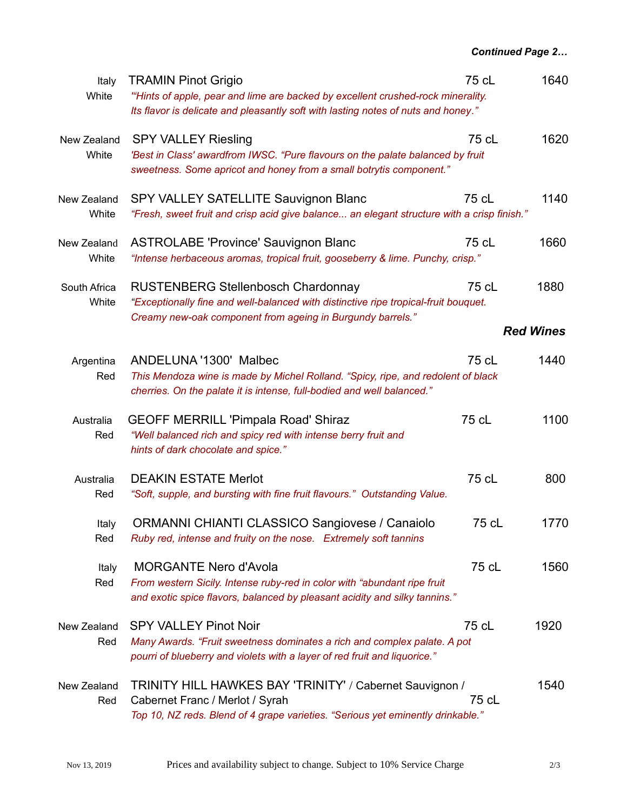| Italy<br>White        | <b>TRAMIN Pinot Grigio</b><br>"Hints of apple, pear and lime are backed by excellent crushed-rock minerality.<br>Its flavor is delicate and pleasantly soft with lasting notes of nuts and honey." | 75 cL | 1640             |
|-----------------------|----------------------------------------------------------------------------------------------------------------------------------------------------------------------------------------------------|-------|------------------|
| New Zealand<br>White  | <b>SPY VALLEY Riesling</b><br>'Best in Class' awardfrom IWSC. "Pure flavours on the palate balanced by fruit<br>sweetness. Some apricot and honey from a small botrytis component."                | 75 cL | 1620             |
| New Zealand<br>White  | <b>SPY VALLEY SATELLITE Sauvignon Blanc</b><br>"Fresh, sweet fruit and crisp acid give balance an elegant structure with a crisp finish."                                                          | 75 cL | 1140             |
| New Zealand<br>White  | <b>ASTROLABE 'Province' Sauvignon Blanc</b><br>"Intense herbaceous aromas, tropical fruit, gooseberry & lime. Punchy, crisp."                                                                      | 75 cL | 1660             |
| South Africa<br>White | <b>RUSTENBERG Stellenbosch Chardonnay</b><br>"Exceptionally fine and well-balanced with distinctive ripe tropical-fruit bouquet.                                                                   | 75 cL | 1880             |
|                       | Creamy new-oak component from ageing in Burgundy barrels."                                                                                                                                         |       | <b>Red Wines</b> |
| Argentina<br>Red      | ANDELUNA '1300' Malbec<br>This Mendoza wine is made by Michel Rolland. "Spicy, ripe, and redolent of black<br>cherries. On the palate it is intense, full-bodied and well balanced."               | 75 cL | 1440             |
| Australia<br>Red      | <b>GEOFF MERRILL 'Pimpala Road' Shiraz</b><br>"Well balanced rich and spicy red with intense berry fruit and<br>hints of dark chocolate and spice."                                                | 75 cL | 1100             |
| Australia<br>Red      | <b>DEAKIN ESTATE Merlot</b><br>"Soft, supple, and bursting with fine fruit flavours." Outstanding Value.                                                                                           | 75 cL | 800              |
| Italy<br>Red          | <b>ORMANNI CHIANTI CLASSICO Sangiovese / Canaiolo</b><br>Ruby red, intense and fruity on the nose. Extremely soft tannins                                                                          | 75 cL | 1770             |
| Italy<br>Red          | <b>MORGANTE Nero d'Avola</b><br>From western Sicily. Intense ruby-red in color with "abundant ripe fruit<br>and exotic spice flavors, balanced by pleasant acidity and silky tannins."             | 75 cL | 1560             |
| New Zealand<br>Red    | <b>SPY VALLEY Pinot Noir</b><br>Many Awards. "Fruit sweetness dominates a rich and complex palate. A pot<br>pourri of blueberry and violets with a layer of red fruit and liquorice."              | 75 cL | 1920             |
| New Zealand<br>Red    | TRINITY HILL HAWKES BAY 'TRINITY' / Cabernet Sauvignon /<br>Cabernet Franc / Merlot / Syrah<br>Top 10, NZ reds. Blend of 4 grape varieties. "Serious yet eminently drinkable."                     | 75 cL | 1540             |